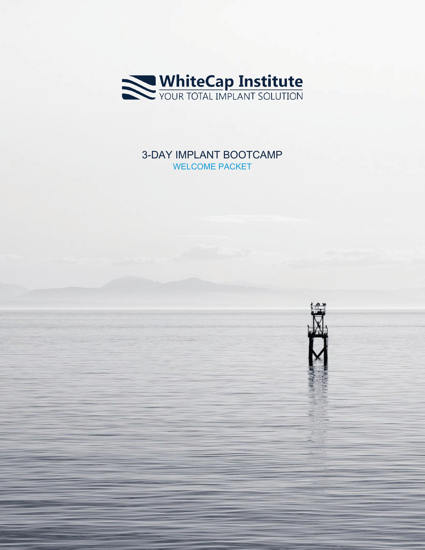

## 3-DAY IMPLANT BOOTCAMP WELCOME PACKET

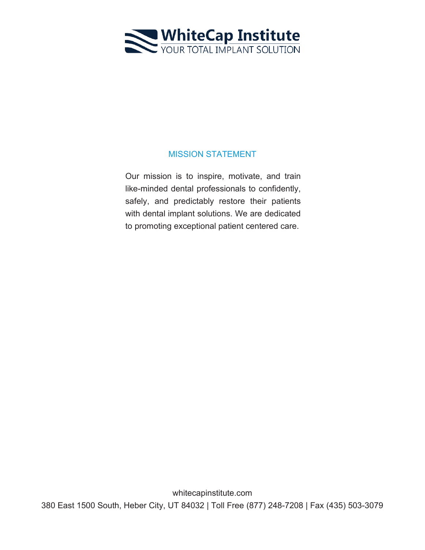

#### MISSION STATEMENT

Our mission is to inspire, motivate, and train like-minded dental professionals to confidently, safely, and predictably restore their patients with dental implant solutions. We are dedicated to promoting exceptional patient centered care.

whitecapinstitute.com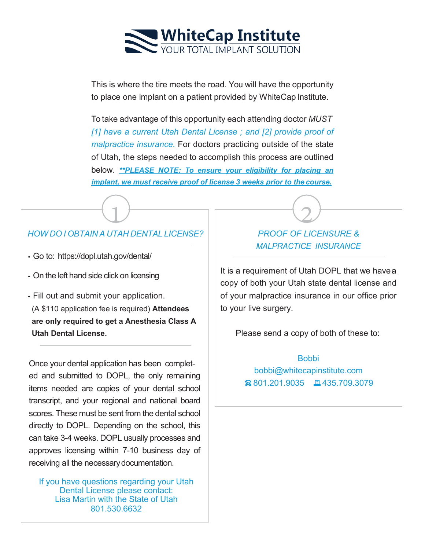

This is where the tire meets the road. You will have the opportunity to place one implant on a patient provided by WhiteCap Institute.

To take advantage of this opportunity each attending doctor *MUST [1] have a current Utah Dental License ; and [2] provide proof of malpractice insurance.* For doctors practicing outside of the state of Utah, the steps needed to accomplish this process are outlined below. *\*\*PLEASE NOTE: To ensure your eligibility for placing an implant, we must receive proof of license 3 weeks prior to the course.*

# $\frac{1}{\cdot}$ *HOW DO I OBTAIN A UTAH DENTAL LICENSE?*

- Go to: [https://dopl.utah.gov/dental/](http://www.dopl.utah.gov/licensing/dentistry.html)
- On the left hand side click on licensing
- Fill out and submit your application. (A \$110 application fee is required) **Attendees are only required to get a Anesthesia Class A Utah Dental License.**

Once your dental application has been completed and submitted to DOPL, the only remaining items needed are copies of your dental school transcript, and your regional and national board scores. These must be sent from the dental school directly to DOPL. Depending on the school, this can take 3-4 weeks. DOPL usually processes and approves licensing within 7-10 business day of receiving all the necessarydocumentation.

If you have questions regarding your Utah Dental License please contact: Lisa Martin with the State of Utah 801.530.6632

# 2 *PROOF OF LICENSURE & MALPRACTICE INSURANCE*

It is a requirement of Utah DOPL that we havea copy of both your Utah state dental license and of your malpractice insurance in our office prior to your live surgery.

Please send a copy of both of these to:

#### **Bobbi**

[bobbi@whitecapinstitute.com](mailto:bobbi@whitecapinstitute.com) 801.201.9035  $\Box$ 435.709.3079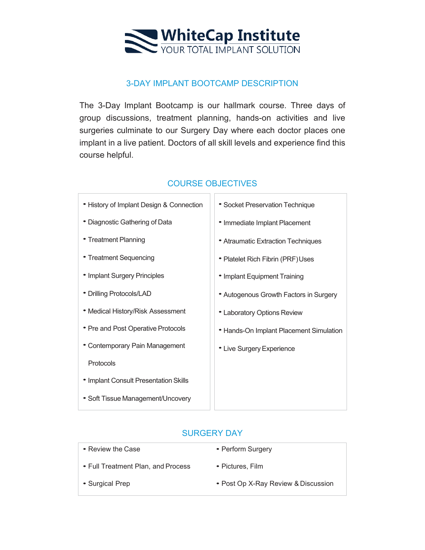

#### 3-DAY IMPLANT BOOTCAMP DESCRIPTION

The 3-Day Implant Bootcamp is our hallmark course. Three days of group discussions, treatment planning, hands-on activities and live surgeries culminate to our Surgery Day where each doctor places one implant in a live patient. Doctors of all skill levels and experience find this course helpful.

| • History of Implant Design & Connection | • Socket Preservation Technique         |
|------------------------------------------|-----------------------------------------|
| • Diagnostic Gathering of Data           | • Immediate Implant Placement           |
| • Treatment Planning                     | • Atraumatic Extraction Techniques      |
| • Treatment Sequencing                   | • Platelet Rich Fibrin (PRF) Uses       |
| • Implant Surgery Principles             | • Implant Equipment Training            |
| • Drilling Protocols/LAD                 | • Autogenous Growth Factors in Surgery  |
| • Medical History/Risk Assessment        | • Laboratory Options Review             |
| • Pre and Post Operative Protocols       | • Hands-On Implant Placement Simulation |
| • Contemporary Pain Management           | • Live Surgery Experience               |
| Protocols                                |                                         |
| • Implant Consult Presentation Skills    |                                         |
| • Soft Tissue Management/Uncovery        |                                         |

### COURSE OBJECTIVES T

#### SURGERY DAY

| • Review the Case                  | • Perform Surgery                   |
|------------------------------------|-------------------------------------|
| • Full Treatment Plan, and Process | • Pictures, Film                    |
| • Surgical Prep                    | • Post Op X-Ray Review & Discussion |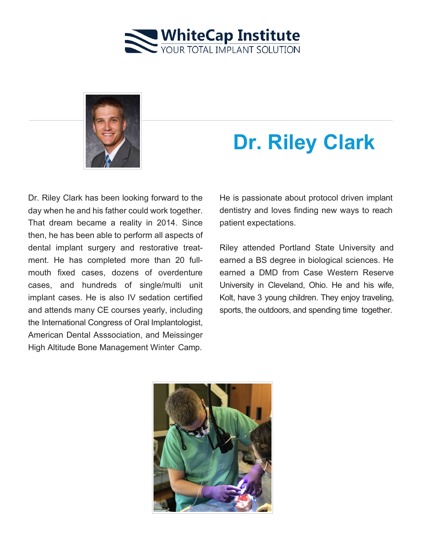



# **Dr. Riley Clark**

Dr. Riley Clark has been looking forward to the day when he and his father could work together. That dream became a reality in 2014. Since then, he has been able to perform all aspects of dental implant surgery and restorative treatment. He has completed more than 20 fullmouth fixed cases, dozens of overdenture cases, and hundreds of single/multi unit implant cases. He is also IV sedation certified and attends many CE courses yearly, including the International Congress of Oral Implantologist, American Dental Asssociation, and Meissinger High Altitude Bone Management Winter Camp.

He is passionate about protocol driven implant dentistry and loves finding new ways to reach patient expectations.

Riley attended Portland State University and earned a BS degree in biological sciences. He earned a DMD from Case Western Reserve University in Cleveland, Ohio. He and his wife, Kolt, have 3 young children. They enjoy traveling, sports, the outdoors, and spending time together.